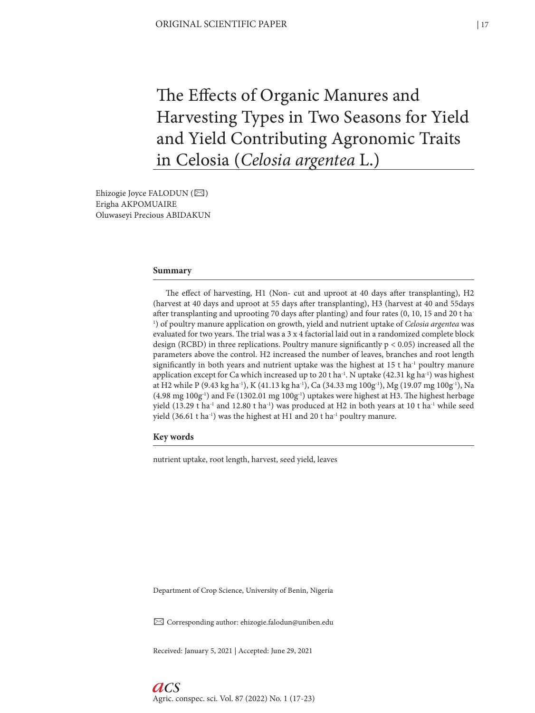# The Effects of Organic Manures and Harvesting Types in Two Seasons for Yield and Yield Contributing Agronomic Traits in Celosia (*Celosia argentea* L.)

Ehizogie Joyce FALODUN (⊠) Erigha AKPOMUAIRE Oluwaseyi Precious ABIDAKUN

#### **Summary**

The effect of harvesting, H1 (Non- cut and uproot at 40 days after transplanting), H2 (harvest at 40 days and uproot at 55 days after transplanting), H3 (harvest at 40 and 55days after transplanting and uprooting 70 days after planting) and four rates (0, 10, 15 and 20 t ha-1 ) of poultry manure application on growth, yield and nutrient uptake of *Celosia argentea* was evaluated for two years. The trial was a 3 x 4 factorial laid out in a randomized complete block design (RCBD) in three replications. Poultry manure significantly p < 0.05) increased all the parameters above the control. H2 increased the number of leaves, branches and root length significantly in both years and nutrient uptake was the highest at  $15$  t ha<sup>-1</sup> poultry manure application except for Ca which increased up to 20 t ha<sup>-1</sup>. N uptake (42.31 kg ha<sup>-1</sup>) was highest at H2 while P (9.43 kg ha<sup>-1</sup>), K (41.13 kg ha<sup>-1</sup>), Ca (34.33 mg 100g<sup>-1</sup>), Mg (19.07 mg 100g<sup>-1</sup>), Na  $(4.98 \text{ mg } 100 \text{g}^{-1})$  and Fe (1302.01 mg  $100 \text{g}^{-1}$ ) uptakes were highest at H3. The highest herbage yield (13.29 t ha<sup>-1</sup> and 12.80 t ha<sup>-1</sup>) was produced at H2 in both years at 10 t ha<sup>-1</sup> while seed yield (36.61 t ha<sup>-1</sup>) was the highest at H1 and 20 t ha<sup>-1</sup> poultry manure.

**Key words**

nutrient uptake, root length, harvest, seed yield, leaves

Department of Crop Science, University of Benin, Nigeria

✉ Corresponding author: ehizogie.falodun@uniben.edu

Received: January 5, 2021 | Accepted: June 29, 2021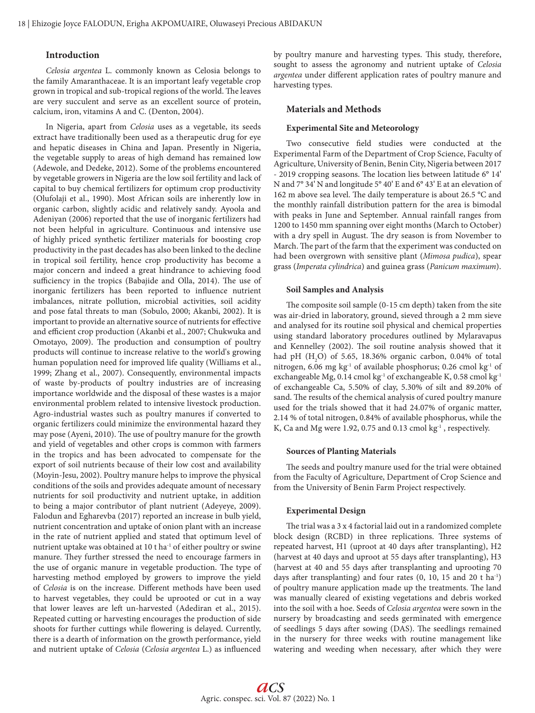# **Introduction**

*Celosia argentea* L. commonly known as Celosia belongs to the family Amaranthaceae. It is an important leafy vegetable crop grown in tropical and sub-tropical regions of the world. The leaves are very succulent and serve as an excellent source of protein, calcium, iron, vitamins A and C. (Denton, 2004).

In Nigeria, apart from *Celosia* uses as a vegetable, its seeds extract have traditionally been used as a therapeutic drug for eye and hepatic diseases in China and Japan. Presently in Nigeria, the vegetable supply to areas of high demand has remained low (Adewole, and Dedeke, 2012). Some of the problems encountered by vegetable growers in Nigeria are the low soil fertility and lack of capital to buy chemical fertilizers for optimum crop productivity (Olufolaji et al., 1990). Most African soils are inherently low in organic carbon, slightly acidic and relatively sandy. Ayoola and Adeniyan (2006) reported that the use of inorganic fertilizers had not been helpful in agriculture. Continuous and intensive use of highly priced synthetic fertilizer materials for boosting crop productivity in the past decades has also been linked to the decline in tropical soil fertility, hence crop productivity has become a major concern and indeed a great hindrance to achieving food sufficiency in the tropics (Babajide and Olla, 2014). The use of inorganic fertilizers has been reported to influence nutrient imbalances, nitrate pollution, microbial activities, soil acidity and pose fatal threats to man (Sobulo, 2000; Akanbi, 2002). It is important to provide an alternative source of nutrients for effective and efficient crop production (Akanbi et al., 2007; Chukwuka and Omotayo, 2009). The production and consumption of poultry products will continue to increase relative to the world's growing human population need for improved life quality (Williams et al., 1999; Zhang et al., 2007). Consequently, environmental impacts of waste by-products of poultry industries are of increasing importance worldwide and the disposal of these wastes is a major environmental problem related to intensive livestock production. Agro-industrial wastes such as poultry manures if converted to organic fertilizers could minimize the environmental hazard they may pose (Ayeni, 2010). The use of poultry manure for the growth and yield of vegetables and other crops is common with farmers in the tropics and has been advocated to compensate for the export of soil nutrients because of their low cost and availability (Moyin-Jesu, 2002). Poultry manure helps to improve the physical conditions of the soils and provides adequate amount of necessary nutrients for soil productivity and nutrient uptake, in addition to being a major contributor of plant nutrient (Adeyeye, 2009). Falodun and Egharevba (2017) reported an increase in bulb yield, nutrient concentration and uptake of onion plant with an increase in the rate of nutrient applied and stated that optimum level of nutrient uptake was obtained at 10 t ha<sup>-1</sup> of either poultry or swine manure. They further stressed the need to encourage farmers in the use of organic manure in vegetable production. The type of harvesting method employed by growers to improve the yield of *Celosia* is on the increase. Different methods have been used to harvest vegetables, they could be uprooted or cut in a way that lower leaves are left un-harvested (Adediran et al., 2015). Repeated cutting or harvesting encourages the production of side shoots for further cuttings while flowering is delayed. Currently, there is a dearth of information on the growth performance, yield and nutrient uptake of *Celosia* (*Celosia argentea* L.) as influenced by poultry manure and harvesting types. This study, therefore, sought to assess the agronomy and nutrient uptake of *Celosia argentea* under different application rates of poultry manure and harvesting types.

#### **Materials and Methods**

#### **Experimental Site and Meteorology**

Two consecutive field studies were conducted at the Experimental Farm of the Department of Crop Science, Faculty of Agriculture, University of Benin, Benin City, Nigeria between 2017 - 2019 cropping seasons. The location lies between latitude 6° 14' N and 7° 34' N and longitude 5° 40' E and 6° 43' E at an elevation of 162 m above sea level. The daily temperature is about 26.5 °C and the monthly rainfall distribution pattern for the area is bimodal with peaks in June and September. Annual rainfall ranges from 1200 to 1450 mm spanning over eight months (March to October) with a dry spell in August. The dry season is from November to March. The part of the farm that the experiment was conducted on had been overgrown with sensitive plant (*Mimosa pudica*), spear grass (*Imperata cylindrica*) and guinea grass (*Panicum maximum*).

#### **Soil Samples and Analysis**

The composite soil sample (0-15 cm depth) taken from the site was air-dried in laboratory, ground, sieved through a 2 mm sieve and analysed for its routine soil physical and chemical properties using standard laboratory procedures outlined by Mylaravapus and Kennelley (2002). The soil routine analysis showed that it had pH  $(H_2O)$  of 5.65, 18.36% organic carbon, 0.04% of total nitrogen, 6.06 mg kg<sup>-1</sup> of available phosphorus; 0.26 cmol kg<sup>-1</sup> of exchangeable Mg, 0.14 cmol kg<sup>-1</sup> of exchangeable K, 0.58 cmol kg<sup>-1</sup> of exchangeable Ca, 5.50% of clay, 5.30% of silt and 89.20% of sand. The results of the chemical analysis of cured poultry manure used for the trials showed that it had 24.07% of organic matter, 2.14 % of total nitrogen, 0.84% of available phosphorus, while the K, Ca and Mg were 1.92, 0.75 and 0.13 cmol kg<sup>-1</sup>, respectively.

#### **Sources of Planting Materials**

The seeds and poultry manure used for the trial were obtained from the Faculty of Agriculture, Department of Crop Science and from the University of Benin Farm Project respectively.

### **Experimental Design**

The trial was a 3 x 4 factorial laid out in a randomized complete block design (RCBD) in three replications. Three systems of repeated harvest, H1 (uproot at 40 days after transplanting), H2 (harvest at 40 days and uproot at 55 days after transplanting), H3 (harvest at 40 and 55 days after transplanting and uprooting 70 days after transplanting) and four rates  $(0, 10, 15, 10)$  and  $(20, 10, 15)$ of poultry manure application made up the treatments. The land was manually cleared of existing vegetations and debris worked into the soil with a hoe. Seeds of *Celosia argentea* were sown in the nursery by broadcasting and seeds germinated with emergence of seedlings 5 days after sowing (DAS). The seedlings remained in the nursery for three weeks with routine management like watering and weeding when necessary, after which they were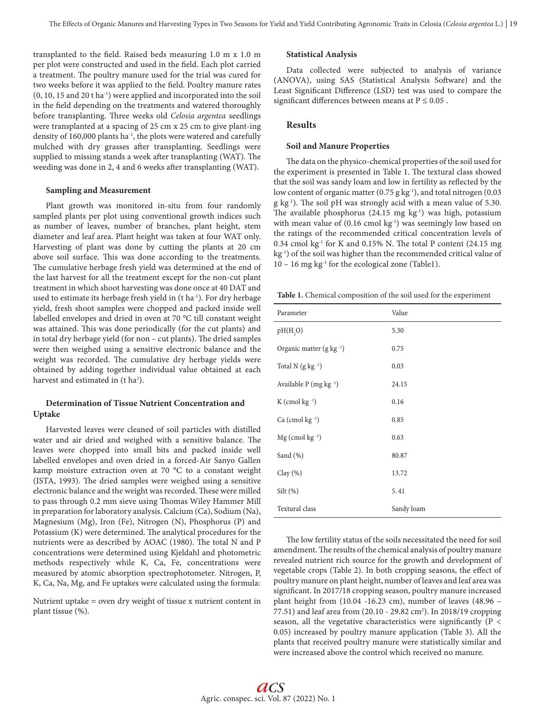transplanted to the field. Raised beds measuring 1.0 m x 1.0 m per plot were constructed and used in the field. Each plot carried a treatment. The poultry manure used for the trial was cured for two weeks before it was applied to the field. Poultry manure rates (0, 10, 15 and 20 t ha-1) were applied and incorporated into the soil in the field depending on the treatments and watered thoroughly before transplanting. Three weeks old *Celosia argentea* seedlings were transplanted at a spacing of 25 cm x 25 cm to give plant-ing density of 160,000 plants ha<sup>-1</sup>, the plots were watered and carefully mulched with dry grasses after transplanting. Seedlings were supplied to missing stands a week after transplanting (WAT). The weeding was done in 2, 4 and 6 weeks after transplanting (WAT).

#### **Sampling and Measurement**

Plant growth was monitored in-situ from four randomly sampled plants per plot using conventional growth indices such as number of leaves, number of branches, plant height, stem diameter and leaf area. Plant height was taken at four WAT only. Harvesting of plant was done by cutting the plants at 20 cm above soil surface. This was done according to the treatments. The cumulative herbage fresh yield was determined at the end of the last harvest for all the treatment except for the non-cut plant treatment in which shoot harvesting was done once at 40 DAT and used to estimate its herbage fresh yield in (t ha<sup>-1</sup>). For dry herbage yield, fresh shoot samples were chopped and packed inside well labelled envelopes and dried in oven at 70 °C till constant weight was attained. This was done periodically (for the cut plants) and in total dry herbage yield (for non – cut plants). The dried samples were then weighed using a sensitive electronic balance and the weight was recorded. The cumulative dry herbage yields were obtained by adding together individual value obtained at each harvest and estimated in (t ha<sup>1</sup>).

# **Determination of Tissue Nutrient Concentration and Uptake**

Harvested leaves were cleaned of soil particles with distilled water and air dried and weighed with a sensitive balance. The leaves were chopped into small bits and packed inside well labelled envelopes and oven dried in a forced-Air Sanyo Gallen kamp moisture extraction oven at 70 °C to a constant weight (ISTA, 1993). The dried samples were weighed using a sensitive electronic balance and the weight was recorded. These were milled to pass through 0.2 mm sieve using Thomas Wiley Hammer Mill in preparation for laboratory analysis. Calcium (Ca), Sodium (Na), Magnesium (Mg), Iron (Fe), Nitrogen (N), Phosphorus (P) and Potassium (K) were determined. The analytical procedures for the nutrients were as described by AOAC (1980). The total N and P concentrations were determined using Kjeldahl and photometric methods respectively while K, Ca, Fe, concentrations were measured by atomic absorption spectrophotometer. Nitrogen, P, K, Ca, Na, Mg, and Fe uptakes were calculated using the formula:

Nutrient uptake = oven dry weight of tissue x nutrient content in plant tissue (%).

#### **Statistical Analysis**

Data collected were subjected to analysis of variance (ANOVA), using SAS (Statistical Analysis Software) and the Least Significant Difference (LSD) test was used to compare the significant differences between means at  $P \le 0.05$ .

# **Results**

#### **Soil and Manure Properties**

The data on the physico-chemical properties of the soil used for the experiment is presented in Table 1. The textural class showed that the soil was sandy loam and low in fertility as reflected by the low content of organic matter (0.75 g kg<sup>-1</sup>), and total nitrogen (0.03 g kg-1). The soil pH was strongly acid with a mean value of 5.30. The available phosphorus  $(24.15 \text{ mg kg}^{-1})$  was high, potassium with mean value of  $(0.16 \text{ cmol kg}^{-1})$  was seemingly low based on the ratings of the recommended critical concentration levels of 0.34 cmol  $kg<sup>-1</sup>$  for K and 0.15% N. The total P content (24.15 mg kg<sup>-1</sup>) of the soil was higher than the recommended critical value of  $10 - 16$  mg kg<sup>-1</sup> for the ecological zone (Table1).

**Table 1.** Chemical composition of the soil used for the experiment

| Parameter                         | Value      |
|-----------------------------------|------------|
| pH(H,0)                           | 5.30       |
| Organic matter $(g \nmid g^{-1})$ | 0.75       |
| Total N $(g \ kg^{-1})$           | 0.03       |
| Available $P$ (mg kg $^{-1}$ )    | 24.15      |
| $K$ (cmol kg $^{-1}$ )            | 0.16       |
| Ca (cmol kg <sup>-1</sup> )       | 0.85       |
| $Mg$ (cmol kg $^{-1}$ )           | 0.63       |
| Sand $(\% )$                      | 80.87      |
| Clay $(\%)$                       | 13.72      |
| $Silt (\% )$                      | 5.41       |
| Textural class                    | Sandy loam |

The low fertility status of the soils necessitated the need for soil amendment. The results of the chemical analysis of poultry manure revealed nutrient rich source for the growth and development of vegetable crops (Table 2). In both cropping seasons, the effect of poultry manure on plant height, number of leaves and leaf area was significant. In 2017/18 cropping season, poultry manure increased plant height from (10.04 -16.23 cm), number of leaves (48.96 – 77.51) and leaf area from (20.10 - 29.82 cm<sup>2</sup>). In 2018/19 cropping season, all the vegetative characteristics were significantly (P < 0.05) increased by poultry manure application (Table 3). All the plants that received poultry manure were statistically similar and were increased above the control which received no manure.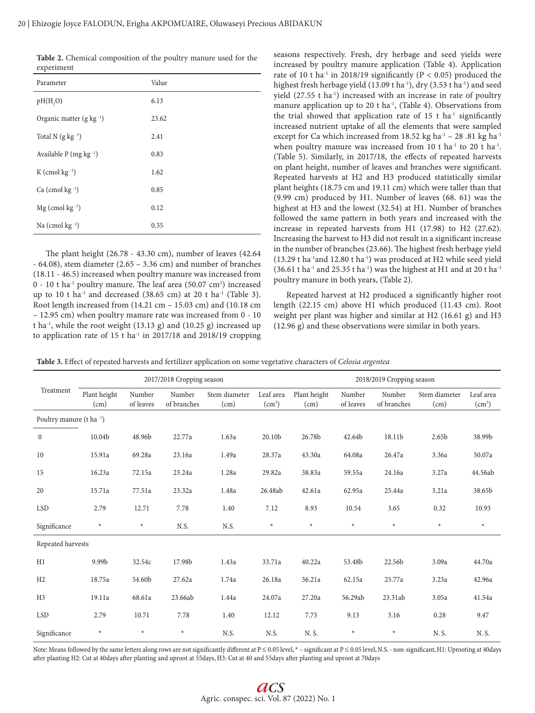**Table 2.** Chemical composition of the poultry manure used for the experiment

| Parameter                            | Value |
|--------------------------------------|-------|
| pH(H,0)                              | 6.13  |
| Organic matter (g kg <sup>-1</sup> ) | 23.62 |
| Total N $(g \nvert g^{-1})$          | 2.41  |
| Available $P$ (mg kg $^{-1}$ )       | 0.83  |
| $K$ (cmol kg $^{-1}$ )               | 1.62  |
| Ca (cmol $kg^{-1}$ )                 | 0.85  |
| $Mg$ (cmol kg $^{-1}$ )              | 0.12  |
| Na (cmol $kg^{-1}$ )                 | 0.35  |

The plant height (26.78 - 43.30 cm), number of leaves (42.64 - 64.08), stem diameter (2.65 – 3.36 cm) and number of branches (18.11 - 46.5) increased when poultry manure was increased from 0 - 10 t ha-1 poultry manure. The leaf area (50.07 cm2 ) increased up to 10 t ha<sup>-1</sup> and decreased (38.65 cm) at 20 t ha<sup>-1</sup> (Table 3). Root length increased from (14.21 cm – 15.03 cm) and (10.18 cm – 12.95 cm) when poultry manure rate was increased from 0 - 10 t ha<sup>-1</sup>, while the root weight  $(13.13 \text{ g})$  and  $(10.25 \text{ g})$  increased up to application rate of 15 t ha $^{-1}$  in 2017/18 and 2018/19 cropping

seasons respectively. Fresh, dry herbage and seed yields were increased by poultry manure application (Table 4). Application rate of 10 t ha<sup>-1</sup> in 2018/19 significantly ( $P < 0.05$ ) produced the highest fresh herbage yield (13.09 t ha<sup>-1</sup>), dry (3.53 t ha<sup>-1</sup>) and seed yield (27.55 t ha<sup>-1</sup>) increased with an increase in rate of poultry manure application up to 20 t ha<sup>-1</sup>, (Table 4). Observations from the trial showed that application rate of  $15$  t ha<sup>-1</sup> significantly increased nutrient uptake of all the elements that were sampled except for Ca which increased from  $18.52$  kg ha<sup>-1</sup> – 28 .81 kg ha<sup>-1</sup> when poultry manure was increased from 10 t ha<sup>-1</sup> to 20 t ha<sup>-1</sup>. (Table 5). Similarly, in 2017/18, the effects of repeated harvests on plant height, number of leaves and branches were significant. Repeated harvests at H2 and H3 produced statistically similar plant heights (18.75 cm and 19.11 cm) which were taller than that (9.99 cm) produced by H1. Number of leaves (68. 61) was the highest at H3 and the lowest (32.54) at H1. Number of branches followed the same pattern in both years and increased with the increase in repeated harvests from H1 (17.98) to H2 (27.62). Increasing the harvest to H3 did not result in a significant increase in the number of branches (23.66). The highest fresh herbage yield  $(13.29$  t ha<sup>-1</sup>and 12.80 t ha<sup>-1</sup>) was produced at H2 while seed yield  $(36.61$  t ha<sup>-1</sup> and 25.35 t ha<sup>-1</sup>) was the highest at H1 and at 20 t ha<sup>-1</sup> poultry manure in both years, (Table 2).

Repeated harvest at H2 produced a significantly higher root length (22.15 cm) above H1 which produced (11.43 cm). Root weight per plant was higher and similar at H2 (16.61 g) and H3 (12.96 g) and these observations were similar in both years.

**Table 3.** Effect of repeated harvests and fertilizer application on some vegetative characters of *Celosia argentea*

| Treatment                | 2017/2018 Cropping season |                     |                       |                       |                                 | 2018/2019 Cropping season |                     |                       |                       |                                 |
|--------------------------|---------------------------|---------------------|-----------------------|-----------------------|---------------------------------|---------------------------|---------------------|-----------------------|-----------------------|---------------------------------|
|                          | Plant height<br>(cm)      | Number<br>of leaves | Number<br>of branches | Stem diameter<br>(cm) | Leaf area<br>(cm <sup>3</sup> ) | Plant height<br>(cm)      | Number<br>of leaves | Number<br>of branches | Stem diameter<br>(cm) | Leaf area<br>(cm <sup>3</sup> ) |
| Poultry manure (t ha -1) |                           |                     |                       |                       |                                 |                           |                     |                       |                       |                                 |
| $\boldsymbol{0}$         | 10.04b                    | 48.96b              | 22.77a                | 1.63a                 | 20.10b                          | 26.78b                    | 42.64b              | 18.11b                | 2.65b                 | 38.99b                          |
| 10                       | 15.91a                    | 69.28a              | 23.16a                | 1.49a                 | 28.37a                          | 43.30a                    | 64.08a              | 26.47a                | 3.36a                 | 50.07a                          |
| 15                       | 16.23a                    | 72.15a              | 23.24a                | 1.28a                 | 29.82a                          | 38.83a                    | 59.55a              | 24.16a                | 3.27a                 | 44.56ab                         |
| 20                       | 15.71a                    | 77.51a              | 23.32a                | 1.48a                 | 26.48ab                         | 42.61a                    | 62.95a              | 25.44a                | 3.21a                 | 38.65b                          |
| <b>LSD</b>               | 2.79                      | 12.71               | 7.78                  | 1.40                  | 7.12                            | 8.93                      | 10.54               | 3.65                  | 0.32                  | 10.93                           |
| Significance             | $\star$                   | $\star$             | N.S.                  | N.S.                  | $\star$                         | $\star$                   | $\star$             | $\star$               | $\star$               | $\ast$                          |
| Repeated harvests        |                           |                     |                       |                       |                                 |                           |                     |                       |                       |                                 |
| H1                       | 9.99b                     | 32.54c              | 17.98b                | 1.43a                 | 33.71a                          | 40.22a                    | 53.48b              | 22.56b                | 3.09a                 | 44.70a                          |
| H2                       | 18.75a                    | 54.60b              | 27.62a                | 1.74a                 | 26.18a                          | 36.21a                    | 62.15a              | 25.77a                | 3.23a                 | 42.96a                          |
| H <sub>3</sub>           | 19.11a                    | 68.61a              | 23.66ab               | 1.44a                 | 24.07a                          | 27.20a                    | 56.29ab             | 23.31ab               | 3.05a                 | 41.54a                          |
| <b>LSD</b>               | 2.79                      | 10.71               | 7.78                  | 1.40                  | 12.12                           | 7.73                      | 9.13                | 3.16                  | 0.28                  | 9.47                            |
| Significance             | $\ast$                    | $\star$             | $\star$               | N.S.                  | N.S.                            | N.S.                      | $\star$             | $\star$               | N.S.                  | N.S.                            |

Note: Means followed by the same letters along rows are not significantly different at  $P \le 0.05$  level,  $* -$  significant at  $P \le 0.05$  level, N.S. - non-significant, H1: Uprooting at 40days after planting H2: Cut at 40days after planting and uproot at 55days, H3: Cut at 40 and 55days after planting and uproot at 70days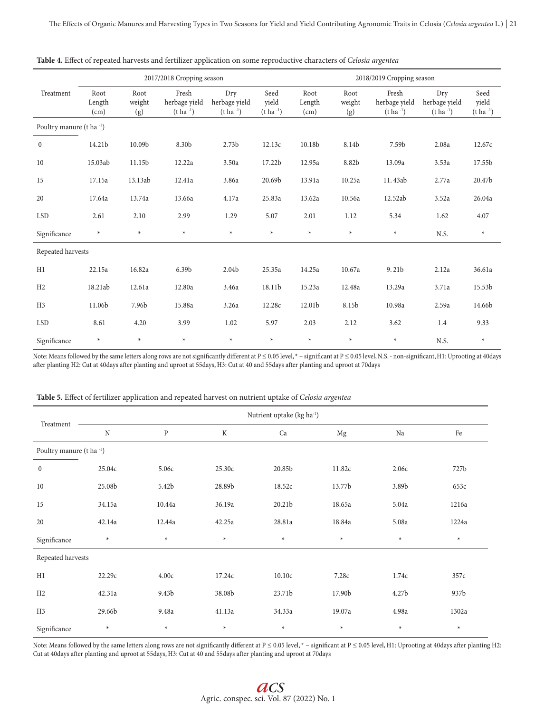|                          | 2017/2018 Cropping season |                       |                                            |                                          |                                   | 2018/2019 Cropping season |                       |                                            |                                          |                                   |  |
|--------------------------|---------------------------|-----------------------|--------------------------------------------|------------------------------------------|-----------------------------------|---------------------------|-----------------------|--------------------------------------------|------------------------------------------|-----------------------------------|--|
| Treatment                | Root<br>Length<br>(cm)    | Root<br>weight<br>(g) | Fresh<br>herbage yield<br>$(t \, ha^{-1})$ | Dry<br>herbage yield<br>$(t \, ha^{-1})$ | Seed<br>vield<br>$(t \, ha^{-1})$ | Root<br>Length<br>(cm)    | Root<br>weight<br>(g) | Fresh<br>herbage yield<br>$(t \, ha^{-1})$ | Dry<br>herbage yield<br>$(t \, ha^{-1})$ | Seed<br>yield<br>$(t \, ha^{-1})$ |  |
| Poultry manure (t ha -1) |                           |                       |                                            |                                          |                                   |                           |                       |                                            |                                          |                                   |  |
| $\bf{0}$                 | 14.21b                    | 10.09b                | 8.30b                                      | 2.73 <sub>b</sub>                        | 12.13c                            | 10.18b                    | 8.14b                 | 7.59b                                      | 2.08a                                    | 12.67c                            |  |
| 10                       | 15.03ab                   | 11.15b                | 12.22a                                     | 3.50a                                    | 17.22b                            | 12.95a                    | 8.82b                 | 13.09a                                     | 3.53a                                    | 17.55b                            |  |
| 15                       | 17.15a                    | 13.13ab               | 12.41a                                     | 3.86a                                    | 20.69b                            | 13.91a                    | 10.25a                | 11.43ab                                    | 2.77a                                    | 20.47b                            |  |
| 20                       | 17.64a                    | 13.74a                | 13.66a                                     | 4.17a                                    | 25.83a                            | 13.62a                    | 10.56a                | 12.52ab                                    | 3.52a                                    | 26.04a                            |  |
| <b>LSD</b>               | 2.61                      | 2.10                  | 2.99                                       | 1.29                                     | 5.07                              | 2.01                      | 1.12                  | 5.34                                       | 1.62                                     | 4.07                              |  |
| Significance             | $\star$                   | $\star$               | $\star$                                    | $\star$                                  | $\star$                           | $\star$                   | $\ast$                | $\star$                                    | N.S.                                     | $\star$                           |  |
| Repeated harvests        |                           |                       |                                            |                                          |                                   |                           |                       |                                            |                                          |                                   |  |
| H1                       | 22.15a                    | 16.82a                | 6.39b                                      | 2.04b                                    | 25.35a                            | 14.25a                    | 10.67a                | 9.21b                                      | 2.12a                                    | 36.61a                            |  |
| H2                       | 18.21ab                   | 12.61a                | 12.80a                                     | 3.46a                                    | 18.11b                            | 15.23a                    | 12.48a                | 13.29a                                     | 3.71a                                    | 15.53b                            |  |
| H <sub>3</sub>           | 11.06b                    | 7.96b                 | 15.88a                                     | 3.26a                                    | 12.28c                            | 12.01b                    | 8.15b                 | 10.98a                                     | 2.59a                                    | 14.66b                            |  |
| <b>LSD</b>               | 8.61                      | 4.20                  | 3.99                                       | 1.02                                     | 5.97                              | 2.03                      | 2.12                  | 3.62                                       | 1.4                                      | 9.33                              |  |
| Significance             | $\star$                   | $\star$               | $\star$                                    | $\star$                                  | $\star$                           | $\ast$                    | $\ast$                | $\ast$                                     | N.S.                                     | $\ast$                            |  |

**Table 4.** Effect of repeated harvests and fertilizer application on some reproductive characters of *Celosia argentea*

Note: Means followed by the same letters along rows are not significantly different at P ≤ 0.05 level, \* - significant at P ≤ 0.05 level, N.S. - non-significant, H1: Uprooting at 40days after planting H2: Cut at 40days after planting and uproot at 55days, H3: Cut at 40 and 55days after planting and uproot at 70days

| Treatment                |             | Nutrient uptake (kg ha <sup>-1</sup> ) |             |         |             |         |        |  |  |  |  |
|--------------------------|-------------|----------------------------------------|-------------|---------|-------------|---------|--------|--|--|--|--|
|                          | $\mathbf N$ | ${\bf P}$                              | $\mathbf K$ | Ca      | $_{\rm Mg}$ | Na      | Fe     |  |  |  |  |
| Poultry manure (t ha -1) |             |                                        |             |         |             |         |        |  |  |  |  |
| $\mathbf{0}$             | 25.04c      | 5.06с                                  | 25.30c      | 20.85b  | 11.82c      | 2.06с   | 727b   |  |  |  |  |
| 10                       | 25.08b      | 5.42b                                  | 28.89b      | 18.52c  | 13.77b      | 3.89b   | 653c   |  |  |  |  |
| 15                       | 34.15a      | 10.44a                                 | 36.19a      | 20.21b  | 18.65a      | 5.04a   | 1216a  |  |  |  |  |
| 20                       | 42.14a      | 12.44a                                 | 42.25a      | 28.81a  | 18.84a      | 5.08a   | 1224a  |  |  |  |  |
| Significance             | $\ast$      | $\star$                                | $\star$     | $\ast$  | $\star$     | $\ast$  | $\ast$ |  |  |  |  |
| Repeated harvests        |             |                                        |             |         |             |         |        |  |  |  |  |
| H1                       | 22.29c      | 4.00c                                  | 17.24c      | 10.10c  | 7.28c       | 1.74c   | 357c   |  |  |  |  |
| H2                       | 42.31a      | 9.43b                                  | 38.08b      | 23.71b  | 17.90b      | 4.27b   | 937b   |  |  |  |  |
| H <sub>3</sub>           | 29.66b      | 9.48a                                  | 41.13a      | 34.33a  | 19.07a      | 4.98a   | 1302a  |  |  |  |  |
| Significance             | $\star$     | $\star$                                | $\star$     | $\star$ | $\star$     | $\star$ | $\ast$ |  |  |  |  |

**Table 5.** Effect of fertilizer application and repeated harvest on nutrient uptake of *Celosia argentea*

Note: Means followed by the same letters along rows are not significantly different at P ≤ 0.05 level, \* - significant at P ≤ 0.05 level, H1: Uprooting at 40days after planting H2: Cut at 40days after planting and uproot at 55days, H3: Cut at 40 and 55days after planting and uproot at 70days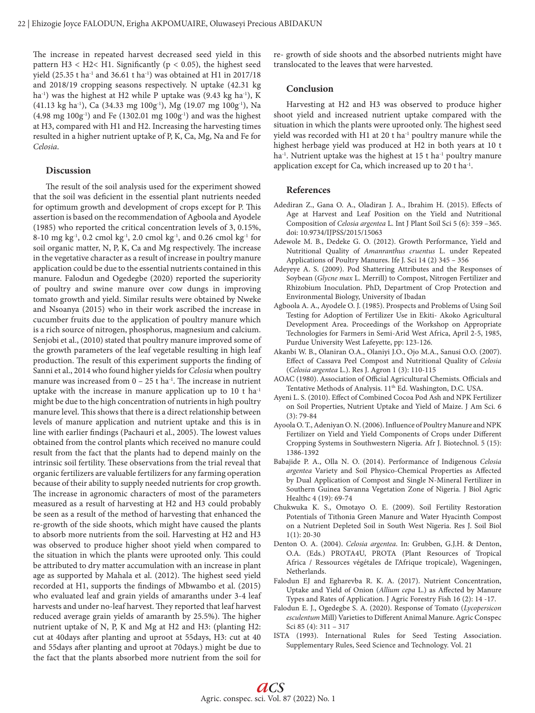The increase in repeated harvest decreased seed yield in this pattern H3 < H2< H1. Significantly ( $p$  < 0.05), the highest seed yield (25.35 t ha<sup>-1</sup> and 36.61 t ha<sup>-1</sup>) was obtained at H1 in 2017/18 and 2018/19 cropping seasons respectively. N uptake (42.31 kg ha<sup>-1</sup>) was the highest at H2 while P uptake was (9.43 kg ha<sup>-1</sup>), K (41.13 kg ha-1), Ca (34.33 mg 100g-1), Mg (19.07 mg 100g-1), Na  $(4.98 \text{ mg } 100g^{-1})$  and Fe  $(1302.01 \text{ mg } 100g^{-1})$  and was the highest at H3, compared with H1 and H2. Increasing the harvesting times resulted in a higher nutrient uptake of P, K, Ca, Mg, Na and Fe for *Celosia*.

#### **Discussion**

The result of the soil analysis used for the experiment showed that the soil was deficient in the essential plant nutrients needed for optimum growth and development of crops except for P. This assertion is based on the recommendation of Agboola and Ayodele (1985) who reported the critical concentration levels of 3, 0.15%, 8-10 mg kg<sup>-1</sup>, 0.2 cmol kg<sup>-1</sup>, 2.0 cmol kg<sup>-1</sup>, and 0.26 cmol kg<sup>-1</sup> for soil organic matter, N, P, K, Ca and Mg respectively. The increase in the vegetative character as a result of increase in poultry manure application could be due to the essential nutrients contained in this manure. Falodun and Ogedegbe (2020) reported the superiority of poultry and swine manure over cow dungs in improving tomato growth and yield. Similar results were obtained by Nweke and Nsoanya (2015) who in their work ascribed the increase in cucumber fruits due to the application of poultry manure which is a rich source of nitrogen, phosphorus, magnesium and calcium. Senjobi et al., (2010) stated that poultry manure improved some of the growth parameters of the leaf vegetable resulting in high leaf production. The result of this experiment supports the finding of Sanni et al., 2014 who found higher yields for *Celosia* when poultry manure was increased from  $0 - 25$  t ha<sup>-1</sup>. The increase in nutrient uptake with the increase in manure application up to 10 t ha<sup>-1</sup> might be due to the high concentration of nutrients in high poultry manure level. This shows that there is a direct relationship between levels of manure application and nutrient uptake and this is in line with earlier findings (Pachauri et al., 2005). The lowest values obtained from the control plants which received no manure could result from the fact that the plants had to depend mainly on the intrinsic soil fertility. These observations from the trial reveal that organic fertilizers are valuable fertilizers for any farming operation because of their ability to supply needed nutrients for crop growth. The increase in agronomic characters of most of the parameters measured as a result of harvesting at H2 and H3 could probably be seen as a result of the method of harvesting that enhanced the re-growth of the side shoots, which might have caused the plants to absorb more nutrients from the soil. Harvesting at H2 and H3 was observed to produce higher shoot yield when compared to the situation in which the plants were uprooted only. This could be attributed to dry matter accumulation with an increase in plant age as supported by Mahala et al. (2012). The highest seed yield recorded at H1, supports the findings of Mbwambo et al. (2015) who evaluated leaf and grain yields of amaranths under 3-4 leaf harvests and under no-leaf harvest. They reported that leaf harvest reduced average grain yields of amaranth by 25.5%). The higher nutrient uptake of N, P, K and Mg at H2 and H3: (planting H2: cut at 40days after planting and uproot at 55days, H3: cut at 40 and 55days after planting and uproot at 70days.) might be due to the fact that the plants absorbed more nutrient from the soil for re- growth of side shoots and the absorbed nutrients might have translocated to the leaves that were harvested.

#### **Conclusion**

Harvesting at H2 and H3 was observed to produce higher shoot yield and increased nutrient uptake compared with the situation in which the plants were uprooted only. The highest seed yield was recorded with H1 at 20 t ha<sup>-1</sup> poultry manure while the highest herbage yield was produced at H2 in both years at 10 t ha<sup>-1</sup>. Nutrient uptake was the highest at 15 t ha<sup>-1</sup> poultry manure application except for Ca, which increased up to 20 t ha-1.

#### **References**

- Adediran Z., Gana O. A., Oladiran J. A., Ibrahim H. (2015). Effects of Age at Harvest and Leaf Position on the Yield and Nutritional Composition of *Celosia argentea* L. Int J Plant Soil Sci 5 (6): 359 –365. doi: 10.9734/IJPSS/2015/15063
- Adewole M. B., Dedeke G. O. (2012). Growth Performance, Yield and Nutritional Quality of *Amanranthus cruentus* L. under Repeated Applications of Poultry Manures. Ife J. Sci 14 (2) 345 – 356
- Adeyeye A. S. (2009). Pod Shattering Attributes and the Responses of Soybean (*Glycne max* L. Merrill) to Compost, Nitrogen Fertilizer and Rhizobium Inoculation. PhD, Department of Crop Protection and Environmental Biology, University of Ibadan
- Agboola A. A., Ayodele O. J. (1985). Prospects and Problems of Using Soil Testing for Adoption of Fertilizer Use in Ekiti- Akoko Agricultural Development Area. Proceedings of the Workshop on Appropriate Technologies for Farmers in Semi-Arid West Africa, April 2-5, 1985, Purdue University West Lafeyette, pp: 123-126.
- Akanbi W. B., Olaniran O.A., Olaniyi J.O., Ojo M.A., Sanusi O.O. (2007). Effect of Cassava Peel Compost and Nutritional Quality of *Celosia*  (*Celosia argentea* L.). Res J. Agron 1 (3): 110-115
- AOAC (1980). Association of Official Agricultural Chemists. Officials and Tentative Methods of Analysis. 11<sup>th</sup> Ed. Washington, D.C. USA.
- Ayeni L. S. (2010). Effect of Combined Cocoa Pod Ash and NPK Fertilizer on Soil Properties, Nutrient Uptake and Yield of Maize. J Am Sci. 6 (3): 79-84
- Ayoola O. T., Adeniyan O. N. (2006). Influence of Poultry Manure and NPK Fertilizer on Yield and Yield Components of Crops under Different Cropping Systems in Southwestern Nigeria. Afr J. Biotechnol. 5 (15): 1386-1392
- Babajide P. A., Olla N. O. (2014). Performance of Indigenous *Celosia argentea* Variety and Soil Physico-Chemical Properties as Affected by Dual Application of Compost and Single N-Mineral Fertilizer in Southern Guinea Savanna Vegetation Zone of Nigeria. J Biol Agric Healthc 4 (19): 69-74
- Chukwuka K. S., Omotayo O. E. (2009). Soil Fertility Restoration Potentials of Tithonia Green Manure and Water Hyacinth Compost on a Nutrient Depleted Soil in South West Nigeria. Res J. Soil Biol 1(1): 20-30
- Denton O. A. (2004). *Celosia argentea*. In: Grubben, G.J.H. & Denton, O.A. (Eds.) PROTA4U, PROTA (Plant Resources of Tropical Africa / Ressources végétales de l'Afrique tropicale), Wageningen, **Netherlands**
- Falodun EJ and Egharevba R. K. A. (2017). Nutrient Concentration, Uptake and Yield of Onion (*Allium cepa* L.) as Affected by Manure Types and Rates of Application. J Agric Forestry Fish 16 (2): 14 -17.
- Falodun E. J., Ogedegbe S. A. (2020). Response of Tomato (*Lycopersicon esculentum* Mill) Varieties to Different Animal Manure. Agric Conspec Sci 85 (4): 311 – 317
- ISTA (1993). International Rules for Seed Testing Association. Supplementary Rules, Seed Science and Technology. Vol. 21